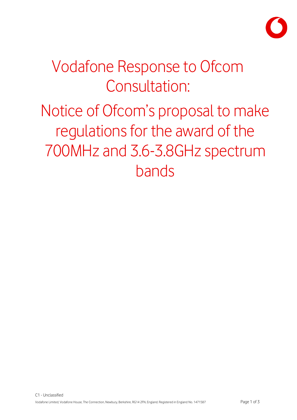

# Vodafone Response to Ofcom Consultation:

Notice of Ofcom's proposal to make regulations for the award of the 700MHz and 3.6-3.8GHz spectrum bands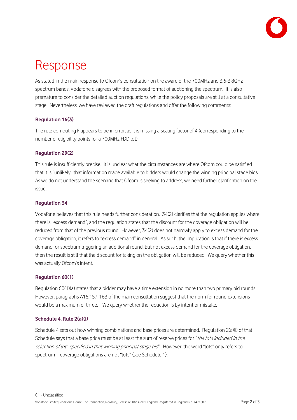

# Response

As stated in the main response to Ofcom's consultation on the award of the 700MHz and 3.6-3.8GHz spectrum bands, Vodafone disagrees with the proposed format of auctioning the spectrum. It is also premature to consider the detailed auction regulations, while the policy proposals are still at a consultative stage. Nevertheless, we have reviewed the draft regulations and offer the following comments:

# **Regulation 16(3)**

The rule computing F appears to be in error, as it is missing a scaling factor of 4 (corresponding to the number of eligibility points for a 700MHz FDD lot).

## **Regulation 29(2)**

This rule is insufficiently precise. It is unclear what the circumstances are where Ofcom could be satisfied that it is "unlikely" that information made available to bidders would change the winning principal stage bids. As we do not understand the scenario that Ofcom is seeking to address, we need further clarification on the issue.

### **Regulation 34**

Vodafone believes that this rule needs further consideration. 34(2) clarifies that the regulation applies where there is "excess demand", and the regulation states that the discount for the coverage obligation will be reduced from that of the previous round. However, 34(2) does not narrowly apply to excess demand for the coverage obligation, it refers to "excess demand" in general. As such, the implication is that if there is excess demand for spectrum triggering an additional round, but not excess demand for the coverage obligation, then the result is still that the discount for taking on the obligation will be reduced. We query whether this was actually Ofcom's intent.

### **Regulation 60(1)**

Regulation 60(1)(a) states that a bidder may have a time extension in no more than two primary bid rounds. However, paragraphs A16.157-163 of the main consultation suggest that the norm for round extensions would be a maximum of three. We query whether the reduction is by intent or mistake.

### **Schedule 4, Rule 2(a)(i)**

Schedule 4 sets out how winning combinations and base prices are determined. Regulation 2(a)(i) of that Schedule says that a base price must be at least the sum of reserve prices for "the lots included in the selection of lots specified in that winning principal stage bid". However, the word "lots" only refers to spectrum – coverage obligations are not "lots" (see Schedule 1).